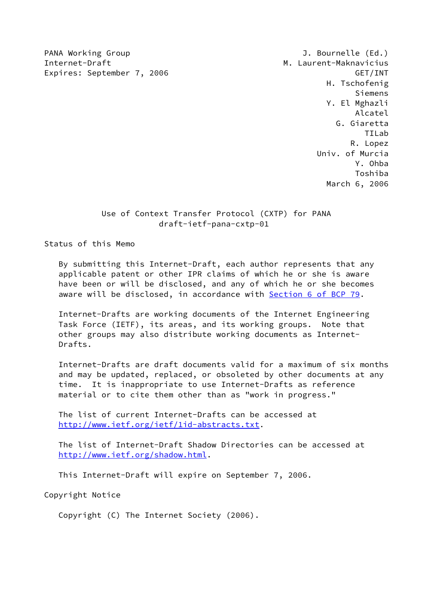PANA Working Group **Communist Communist Communist Communist Communist Communist Communist Communist Communist Communist Communist Communist Communist Communist Communist Communist Communist Communist Communist Communist Co** Internet-Draft M. Laurent-Maknavicius Expires: September 7, 2006 GET/INT

 H. Tschofenig Siemens Y. El Mghazli Alcatel G. Giaretta TILab R. Lopez Univ. of Murcia Y. Ohba Toshiba March 6, 2006

# Use of Context Transfer Protocol (CXTP) for PANA draft-ietf-pana-cxtp-01

Status of this Memo

 By submitting this Internet-Draft, each author represents that any applicable patent or other IPR claims of which he or she is aware have been or will be disclosed, and any of which he or she becomes aware will be disclosed, in accordance with Section [6 of BCP 79.](https://datatracker.ietf.org/doc/pdf/bcp79#section-6)

 Internet-Drafts are working documents of the Internet Engineering Task Force (IETF), its areas, and its working groups. Note that other groups may also distribute working documents as Internet- Drafts.

 Internet-Drafts are draft documents valid for a maximum of six months and may be updated, replaced, or obsoleted by other documents at any time. It is inappropriate to use Internet-Drafts as reference material or to cite them other than as "work in progress."

 The list of current Internet-Drafts can be accessed at <http://www.ietf.org/ietf/1id-abstracts.txt>.

 The list of Internet-Draft Shadow Directories can be accessed at <http://www.ietf.org/shadow.html>.

This Internet-Draft will expire on September 7, 2006.

Copyright Notice

Copyright (C) The Internet Society (2006).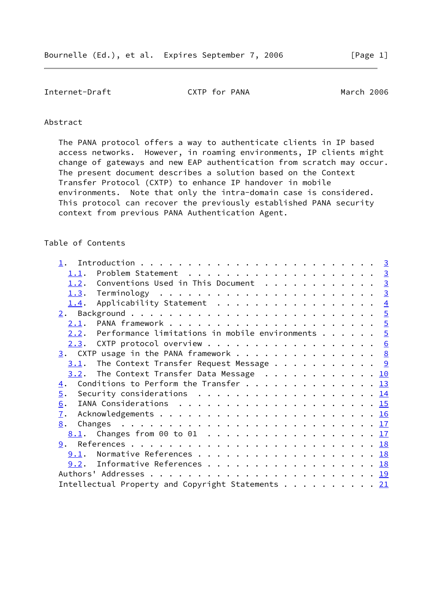# Internet-Draft CXTP for PANA March 2006

# Abstract

 The PANA protocol offers a way to authenticate clients in IP based access networks. However, in roaming environments, IP clients might change of gateways and new EAP authentication from scratch may occur. The present document describes a solution based on the Context Transfer Protocol (CXTP) to enhance IP handover in mobile environments. Note that only the intra-domain case is considered. This protocol can recover the previously established PANA security context from previous PANA Authentication Agent.

# Table of Contents

| Problem Statement $\ldots \ldots \ldots \ldots \ldots \ldots$<br>1.1.                                        |  |  |
|--------------------------------------------------------------------------------------------------------------|--|--|
| Conventions Used in This Document $\cdots$ 3<br>1.2.                                                         |  |  |
| 1.3.                                                                                                         |  |  |
| Applicability Statement $\ldots \ldots \ldots \ldots \ldots$<br>1.4.                                         |  |  |
|                                                                                                              |  |  |
| 2.1.                                                                                                         |  |  |
| 2.2. Performance limitations in mobile environments $5$                                                      |  |  |
| 2.3. CXTP protocol overview 6                                                                                |  |  |
| $\underline{3}$ . CXTP usage in the PANA framework 8                                                         |  |  |
| The Context Transfer Request Message $\frac{9}{2}$<br>3.1.                                                   |  |  |
| $3.2$ . The Context Transfer Data Message 10                                                                 |  |  |
| Conditions to Perform the Transfer 13<br>$\overline{4}$ .                                                    |  |  |
| $\overline{5}$ .<br>Security considerations $\ldots \ldots \ldots \ldots \ldots \ldots \ldots \frac{14}{14}$ |  |  |
| 6.                                                                                                           |  |  |
| $\overline{1}$ .                                                                                             |  |  |
| 8.                                                                                                           |  |  |
| 8.1. Changes from 00 to 01 17                                                                                |  |  |
|                                                                                                              |  |  |
| 9.1. Normative References 18                                                                                 |  |  |
| <u>9.2</u> . Informative References 1 <u>8</u>                                                               |  |  |
|                                                                                                              |  |  |
| Intellectual Property and Copyright Statements 21                                                            |  |  |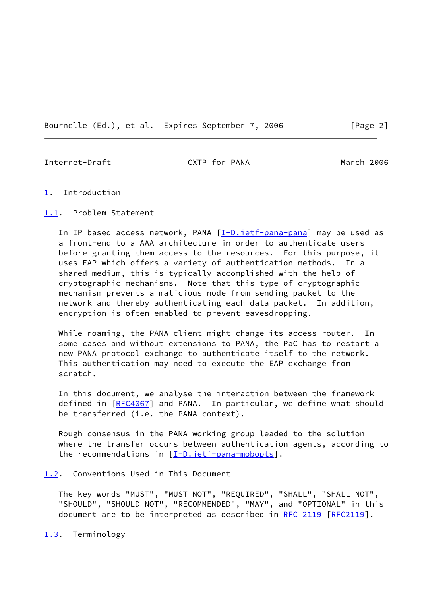Bournelle (Ed.), et al. Expires September 7, 2006 [Page 2]

<span id="page-2-1"></span>Internet-Draft CXTP for PANA March 2006

- <span id="page-2-0"></span>[1](#page-2-0). Introduction
- <span id="page-2-2"></span>[1.1](#page-2-2). Problem Statement

In IP based access network, PANA [\[I-D.ietf-pana-pana\]](#page-19-4) may be used as a front-end to a AAA architecture in order to authenticate users before granting them access to the resources. For this purpose, it uses EAP which offers a variety of authentication methods. In a shared medium, this is typically accomplished with the help of cryptographic mechanisms. Note that this type of cryptographic mechanism prevents a malicious node from sending packet to the network and thereby authenticating each data packet. In addition, encryption is often enabled to prevent eavesdropping.

While roaming, the PANA client might change its access router. In some cases and without extensions to PANA, the PaC has to restart a new PANA protocol exchange to authenticate itself to the network. This authentication may need to execute the EAP exchange from scratch.

 In this document, we analyse the interaction between the framework defined in [[RFC4067\]](https://datatracker.ietf.org/doc/pdf/rfc4067) and PANA. In particular, we define what should be transferred (i.e. the PANA context).

 Rough consensus in the PANA working group leaded to the solution where the transfer occurs between authentication agents, according to the recommendations in  $[I-D.iett-pana-mobopts]$ .

<span id="page-2-3"></span>[1.2](#page-2-3). Conventions Used in This Document

 The key words "MUST", "MUST NOT", "REQUIRED", "SHALL", "SHALL NOT", "SHOULD", "SHOULD NOT", "RECOMMENDED", "MAY", and "OPTIONAL" in this document are to be interpreted as described in [RFC 2119 \[RFC2119](https://datatracker.ietf.org/doc/pdf/rfc2119)].

<span id="page-2-4"></span>[1.3](#page-2-4). Terminology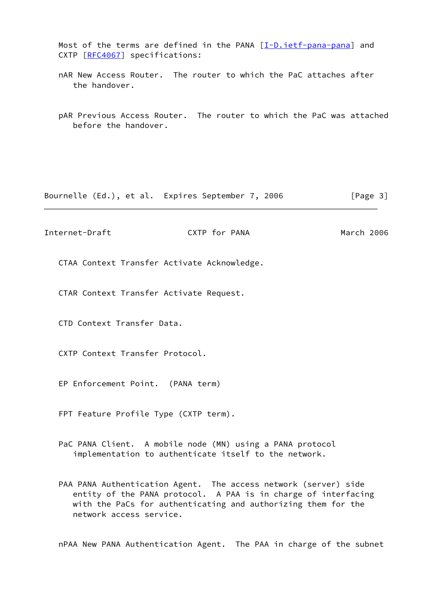Most of the terms are defined in the PANA  $[I-D.iet f-pana-pana]$  and CXTP [\[RFC4067](https://datatracker.ietf.org/doc/pdf/rfc4067)] specifications:

- nAR New Access Router. The router to which the PaC attaches after the handover.
- pAR Previous Access Router. The router to which the PaC was attached before the handover.

Bournelle (Ed.), et al. Expires September 7, 2006 [Page 3]

<span id="page-3-0"></span>Internet-Draft CXTP for PANA March 2006

CTAA Context Transfer Activate Acknowledge.

CTAR Context Transfer Activate Request.

CTD Context Transfer Data.

CXTP Context Transfer Protocol.

EP Enforcement Point. (PANA term)

FPT Feature Profile Type (CXTP term).

- PaC PANA Client. A mobile node (MN) using a PANA protocol implementation to authenticate itself to the network.
- PAA PANA Authentication Agent. The access network (server) side entity of the PANA protocol. A PAA is in charge of interfacing with the PaCs for authenticating and authorizing them for the network access service.

nPAA New PANA Authentication Agent. The PAA in charge of the subnet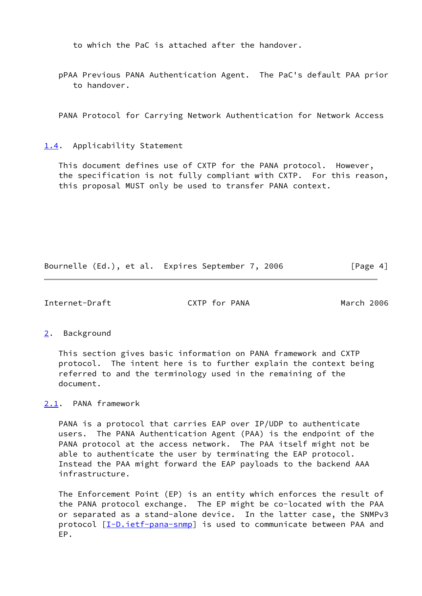to which the PaC is attached after the handover.

 pPAA Previous PANA Authentication Agent. The PaC's default PAA prior to handover.

PANA Protocol for Carrying Network Authentication for Network Access

## <span id="page-4-0"></span>[1.4](#page-4-0). Applicability Statement

 This document defines use of CXTP for the PANA protocol. However, the specification is not fully compliant with CXTP. For this reason, this proposal MUST only be used to transfer PANA context.

Bournelle (Ed.), et al. Expires September 7, 2006 [Page 4]

<span id="page-4-2"></span>Internet-Draft CXTP for PANA March 2006

## <span id="page-4-1"></span>[2](#page-4-1). Background

 This section gives basic information on PANA framework and CXTP protocol. The intent here is to further explain the context being referred to and the terminology used in the remaining of the document.

# <span id="page-4-3"></span>[2.1](#page-4-3). PANA framework

 PANA is a protocol that carries EAP over IP/UDP to authenticate users. The PANA Authentication Agent (PAA) is the endpoint of the PANA protocol at the access network. The PAA itself might not be able to authenticate the user by terminating the EAP protocol. Instead the PAA might forward the EAP payloads to the backend AAA infrastructure.

 The Enforcement Point (EP) is an entity which enforces the result of the PANA protocol exchange. The EP might be co-located with the PAA or separated as a stand-alone device. In the latter case, the SNMPv3 protocol [\[I-D.ietf-pana-snmp\]](#page-19-6) is used to communicate between PAA and EP.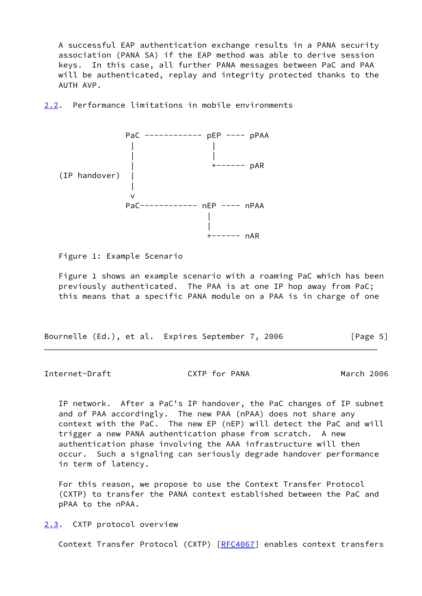A successful EAP authentication exchange results in a PANA security association (PANA SA) if the EAP method was able to derive session keys. In this case, all further PANA messages between PaC and PAA will be authenticated, replay and integrity protected thanks to the AUTH AVP.

<span id="page-5-0"></span>[2.2](#page-5-0). Performance limitations in mobile environments



Figure 1: Example Scenario

 Figure 1 shows an example scenario with a roaming PaC which has been previously authenticated. The PAA is at one IP hop away from PaC; this means that a specific PANA module on a PAA is in charge of one

Bournelle (Ed.), et al. Expires September 7, 2006 [Page 5]

<span id="page-5-2"></span>Internet-Draft CXTP for PANA March 2006

 IP network. After a PaC's IP handover, the PaC changes of IP subnet and of PAA accordingly. The new PAA (nPAA) does not share any context with the PaC. The new EP (nEP) will detect the PaC and will trigger a new PANA authentication phase from scratch. A new authentication phase involving the AAA infrastructure will then occur. Such a signaling can seriously degrade handover performance in term of latency.

 For this reason, we propose to use the Context Transfer Protocol (CXTP) to transfer the PANA context established between the PaC and pPAA to the nPAA.

<span id="page-5-1"></span>[2.3](#page-5-1). CXTP protocol overview

Context Transfer Protocol (CXTP) [\[RFC4067](https://datatracker.ietf.org/doc/pdf/rfc4067)] enables context transfers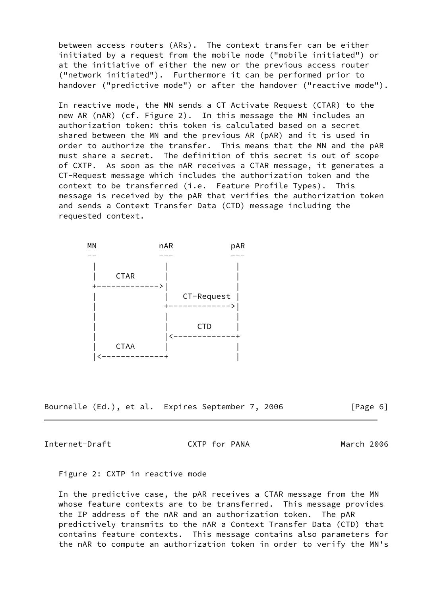between access routers (ARs). The context transfer can be either initiated by a request from the mobile node ("mobile initiated") or at the initiative of either the new or the previous access router ("network initiated"). Furthermore it can be performed prior to handover ("predictive mode") or after the handover ("reactive mode").

 In reactive mode, the MN sends a CT Activate Request (CTAR) to the new AR (nAR) (cf. Figure 2). In this message the MN includes an authorization token: this token is calculated based on a secret shared between the MN and the previous AR (pAR) and it is used in order to authorize the transfer. This means that the MN and the pAR must share a secret. The definition of this secret is out of scope of CXTP. As soon as the nAR receives a CTAR message, it generates a CT-Request message which includes the authorization token and the context to be transferred (i.e. Feature Profile Types). This message is received by the pAR that verifies the authorization token and sends a Context Transfer Data (CTD) message including the requested context.



Bournelle (Ed.), et al. Expires September 7, 2006 [Page 6]

Internet-Draft CXTP for PANA March 2006

Figure 2: CXTP in reactive mode

 In the predictive case, the pAR receives a CTAR message from the MN whose feature contexts are to be transferred. This message provides the IP address of the nAR and an authorization token. The pAR predictively transmits to the nAR a Context Transfer Data (CTD) that contains feature contexts. This message contains also parameters for the nAR to compute an authorization token in order to verify the MN's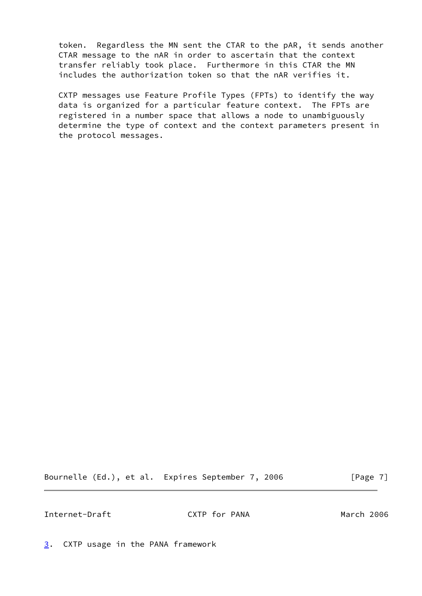token. Regardless the MN sent the CTAR to the pAR, it sends another CTAR message to the nAR in order to ascertain that the context transfer reliably took place. Furthermore in this CTAR the MN includes the authorization token so that the nAR verifies it.

 CXTP messages use Feature Profile Types (FPTs) to identify the way data is organized for a particular feature context. The FPTs are registered in a number space that allows a node to unambiguously determine the type of context and the context parameters present in the protocol messages.

Bournelle (Ed.), et al. Expires September 7, 2006 [Page 7]

<span id="page-7-1"></span>Internet-Draft CXTP for PANA March 2006

<span id="page-7-0"></span>[3](#page-7-0). CXTP usage in the PANA framework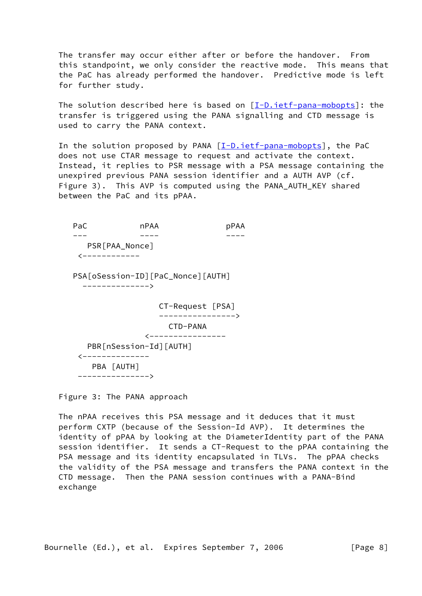The transfer may occur either after or before the handover. From this standpoint, we only consider the reactive mode. This means that the PaC has already performed the handover. Predictive mode is left for further study.

 The solution described here is based on [\[I-D.ietf-pana-mobopts](#page-19-5)]: the transfer is triggered using the PANA signalling and CTD message is used to carry the PANA context.

In the solution proposed by PANA  $[I-D.ietf-pana-mobopts]$ , the PaC does not use CTAR message to request and activate the context. Instead, it replies to PSR message with a PSA message containing the unexpired previous PANA session identifier and a AUTH AVP (cf. Figure 3). This AVP is computed using the PANA\_AUTH\_KEY shared between the PaC and its pPAA.

| PaC. | nPAA           | pPAA |
|------|----------------|------|
|      |                |      |
|      | PSR[PAA_Nonce] |      |
|      |                |      |
|      |                |      |

 PSA[oSession-ID][PaC\_Nonce][AUTH] -------------->

 CT-Request [PSA] ----------------> CTD-PANA <---------------- PBR[nSession-Id][AUTH] <-------------- PBA [AUTH] --------------->

Figure 3: The PANA approach

 The nPAA receives this PSA message and it deduces that it must perform CXTP (because of the Session-Id AVP). It determines the identity of pPAA by looking at the DiameterIdentity part of the PANA session identifier. It sends a CT-Request to the pPAA containing the PSA message and its identity encapsulated in TLVs. The pPAA checks the validity of the PSA message and transfers the PANA context in the CTD message. Then the PANA session continues with a PANA-Bind exchange

Bournelle (Ed.), et al. Expires September 7, 2006 [Page 8]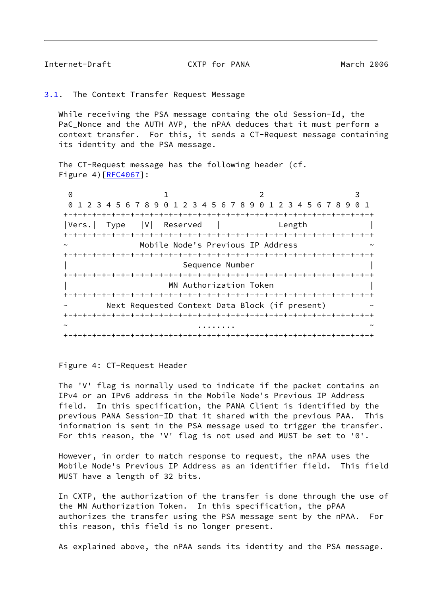<span id="page-9-1"></span><span id="page-9-0"></span>[3.1](#page-9-0). The Context Transfer Request Message

 While receiving the PSA message containg the old Session-Id, the PaC\_Nonce and the AUTH AVP, the nPAA deduces that it must perform a context transfer. For this, it sends a CT-Request message containing its identity and the PSA message.

 The CT-Request message has the following header (cf. Figure 4)[\[RFC4067](https://datatracker.ietf.org/doc/pdf/rfc4067)]:

0 1 2 3 0 1 2 3 4 5 6 7 8 9 0 1 2 3 4 5 6 7 8 9 0 1 2 3 4 5 6 7 8 9 0 1 +-+-+-+-+-+-+-+-+-+-+-+-+-+-+-+-+-+-+-+-+-+-+-+-+-+-+-+-+-+-+-+-+ |Vers.| Type |V| Reserved | Length | +-+-+-+-+-+-+-+-+-+-+-+-+-+-+-+-+-+-+-+-+-+-+-+-+-+-+-+-+-+-+-+-+ Mobile Node's Previous IP Address +-+-+-+-+-+-+-+-+-+-+-+-+-+-+-+-+-+-+-+-+-+-+-+-+-+-+-+-+-+-+-+-+ Sequence Number +-+-+-+-+-+-+-+-+-+-+-+-+-+-+-+-+-+-+-+-+-+-+-+-+-+-+-+-+-+-+-+-+ | MN Authorization Token | +-+-+-+-+-+-+-+-+-+-+-+-+-+-+-+-+-+-+-+-+-+-+-+-+-+-+-+-+-+-+-+-+ Next Requested Context Data Block (if present) +-+-+-+-+-+-+-+-+-+-+-+-+-+-+-+-+-+-+-+-+-+-+-+-+-+-+-+-+-+-+-+-+ ~ ........ ~ +-+-+-+-+-+-+-+-+-+-+-+-+-+-+-+-+-+-+-+-+-+-+-+-+-+-+-+-+-+-+-+-+

Figure 4: CT-Request Header

 The 'V' flag is normally used to indicate if the packet contains an IPv4 or an IPv6 address in the Mobile Node's Previous IP Address field. In this specification, the PANA Client is identified by the previous PANA Session-ID that it shared with the previous PAA. This information is sent in the PSA message used to trigger the transfer. For this reason, the 'V' flag is not used and MUST be set to '0'.

 However, in order to match response to request, the nPAA uses the Mobile Node's Previous IP Address as an identifier field. This field MUST have a length of 32 bits.

 In CXTP, the authorization of the transfer is done through the use of the MN Authorization Token. In this specification, the pPAA authorizes the transfer using the PSA message sent by the nPAA. For this reason, this field is no longer present.

As explained above, the nPAA sends its identity and the PSA message.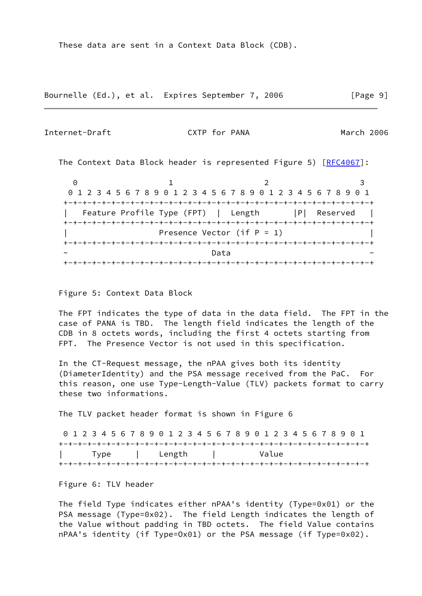These data are sent in a Context Data Block (CDB).

Bournelle (Ed.), et al. Expires September 7, 2006 [Page 9]

<span id="page-10-0"></span>Internet-Draft CXTP for PANA March 2006

The Context Data Block header is represented Figure 5) [\[RFC4067](https://datatracker.ietf.org/doc/pdf/rfc4067)]:

0 1 2 3 0 1 2 3 4 5 6 7 8 9 0 1 2 3 4 5 6 7 8 9 0 1 2 3 4 5 6 7 8 9 0 1 +-+-+-+-+-+-+-+-+-+-+-+-+-+-+-+-+-+-+-+-+-+-+-+-+-+-+-+-+-+-+-+-+ Feature Profile Type (FPT) | Length |P| Reserved | +-+-+-+-+-+-+-+-+-+-+-+-+-+-+-+-+-+-+-+-+-+-+-+-+-+-+-+-+-+-+-+-+ Presence Vector (if  $P = 1$ ) +-+-+-+-+-+-+-+-+-+-+-+-+-+-+-+-+-+-+-+-+-+-+-+-+-+-+-+-+-+-+-+-+  $\sim$  decreases and  $\sim$  Data  $\sim$ +-+-+-+-+-+-+-+-+-+-+-+-+-+-+-+-+-+-+-+-+-+-+-+-+-+-+-+-+-+-+-+-+

Figure 5: Context Data Block

 The FPT indicates the type of data in the data field. The FPT in the case of PANA is TBD. The length field indicates the length of the CDB in 8 octets words, including the first 4 octets starting from FPT. The Presence Vector is not used in this specification.

 In the CT-Request message, the nPAA gives both its identity (DiameterIdentity) and the PSA message received from the PaC. For this reason, one use Type-Length-Value (TLV) packets format to carry these two informations.

The TLV packet header format is shown in Figure 6

|  |  | 0 1 2 3 4 5 6 7 8 9 0 1 2 3 4 5 6 7 8 9 0 1 2 3 4 5 6 7 8 9 0 1 |  |  |  |  |  |  |  |  |       |  |  |  |  |  |
|--|--|-----------------------------------------------------------------|--|--|--|--|--|--|--|--|-------|--|--|--|--|--|
|  |  |                                                                 |  |  |  |  |  |  |  |  |       |  |  |  |  |  |
|  |  | Type   Length                                                   |  |  |  |  |  |  |  |  | Value |  |  |  |  |  |
|  |  |                                                                 |  |  |  |  |  |  |  |  |       |  |  |  |  |  |

Figure 6: TLV header

 The field Type indicates either nPAA's identity (Type=0x01) or the PSA message (Type=0x02). The field Length indicates the length of the Value without padding in TBD octets. The field Value contains nPAA's identity (if Type=Ox01) or the PSA message (if Type=0x02).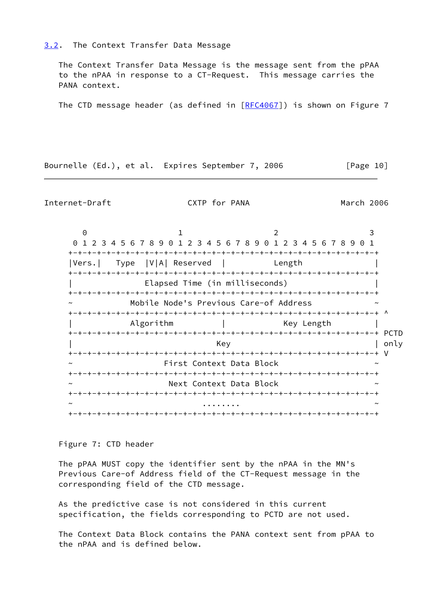#### <span id="page-11-0"></span>[3.2](#page-11-0). The Context Transfer Data Message

 The Context Transfer Data Message is the message sent from the pPAA to the nPAA in response to a CT-Request. This message carries the PANA context.

The CTD message header (as defined in [[RFC4067](https://datatracker.ietf.org/doc/pdf/rfc4067)]) is shown on Figure 7

Bournelle (Ed.), et al. Expires September 7, 2006 [Page 10]

Internet-Draft CXTP for PANA March 2006

 $0$  1 2 3 0 1 2 3 4 5 6 7 8 9 0 1 2 3 4 5 6 7 8 9 0 1 2 3 4 5 6 7 8 9 0 1 +-+-+-+-+-+-+-+-+-+-+-+-+-+-+-+-+-+-+-+-+-+-+-+-+-+-+-+-+-+-+-+-+ |Vers.| Type |V|A| Reserved | Length | +-+-+-+-+-+-+-+-+-+-+-+-+-+-+-+-+-+-+-+-+-+-+-+-+-+-+-+-+-+-+-+-+ Elapsed Time (in milliseconds) +-+-+-+-+-+-+-+-+-+-+-+-+-+-+-+-+-+-+-+-+-+-+-+-+-+-+-+-+-+-+-+-+ Mobile Node's Previous Care-of Address +-+-+-+-+-+-+-+-+-+-+-+-+-+-+-+-+-+-+-+-+-+-+-+-+-+-+-+-+-+-+-+-+ ^ Algorithm  $|$  Key Length +-+-+-+-+-+-+-+-+-+-+-+-+-+-+-+-+-+-+-+-+-+-+-+-+-+-+-+-+-+-+-+-+ PCTD | Key | only +-+-+-+-+-+-+-+-+-+-+-+-+-+-+-+-+-+-+-+-+-+-+-+-+-+-+-+-+-+-+-+-+ V First Context Data Block +-+-+-+-+-+-+-+-+-+-+-+-+-+-+-+-+-+-+-+-+-+-+-+-+-+-+-+-+-+-+-+-+ Next Context Data Block +-+-+-+-+-+-+-+-+-+-+-+-+-+-+-+-+-+-+-+-+-+-+-+-+-+-+-+-+-+-+-+-+ ~ ........ ~ +-+-+-+-+-+-+-+-+-+-+-+-+-+-+-+-+-+-+-+-+-+-+-+-+-+-+-+-+-+-+-+-+

Figure 7: CTD header

 The pPAA MUST copy the identifier sent by the nPAA in the MN's Previous Care-of Address field of the CT-Request message in the corresponding field of the CTD message.

 As the predictive case is not considered in this current specification, the fields corresponding to PCTD are not used.

 The Context Data Block contains the PANA context sent from pPAA to the nPAA and is defined below.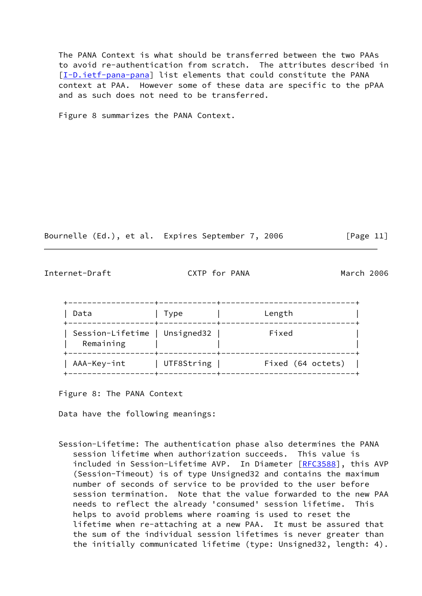The PANA Context is what should be transferred between the two PAAs to avoid re-authentication from scratch. The attributes described in [\[I-D.ietf-pana-pana\]](#page-19-4) list elements that could constitute the PANA context at PAA. However some of these data are specific to the pPAA and as such does not need to be transferred.

Figure 8 summarizes the PANA Context.

Bournelle (Ed.), et al. Expires September 7, 2006 [Page 11]

Internet-Draft CXTP for PANA March 2006

| Data                                       | Type       | Length            |
|--------------------------------------------|------------|-------------------|
| Session-Lifetime   Unsigned32<br>Remaining |            | Fixed             |
| AAA-Key-int                                | UTF8String | Fixed (64 octets) |

Figure 8: The PANA Context

Data have the following meanings:

 Session-Lifetime: The authentication phase also determines the PANA session lifetime when authorization succeeds. This value is included in Session-Lifetime AVP. In Diameter [[RFC3588](https://datatracker.ietf.org/doc/pdf/rfc3588)], this AVP (Session-Timeout) is of type Unsigned32 and contains the maximum number of seconds of service to be provided to the user before session termination. Note that the value forwarded to the new PAA needs to reflect the already 'consumed' session lifetime. This helps to avoid problems where roaming is used to reset the lifetime when re-attaching at a new PAA. It must be assured that the sum of the individual session lifetimes is never greater than the initially communicated lifetime (type: Unsigned32, length: 4).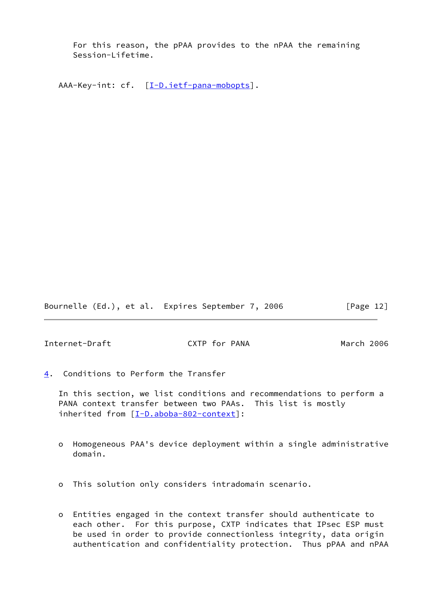For this reason, the pPAA provides to the nPAA the remaining Session-Lifetime.

AAA-Key-int: cf. [[I-D.ietf-pana-mobopts\]](#page-19-5).

Bournelle (Ed.), et al. Expires September 7, 2006 [Page 12]

<span id="page-13-1"></span>Internet-Draft CXTP for PANA March 2006

<span id="page-13-0"></span>[4](#page-13-0). Conditions to Perform the Transfer

 In this section, we list conditions and recommendations to perform a PANA context transfer between two PAAs. This list is mostly inherited from [\[I-D.aboba-802-context](#page-19-7)]:

- o Homogeneous PAA's device deployment within a single administrative domain.
- o This solution only considers intradomain scenario.
- o Entities engaged in the context transfer should authenticate to each other. For this purpose, CXTP indicates that IPsec ESP must be used in order to provide connectionless integrity, data origin authentication and confidentiality protection. Thus pPAA and nPAA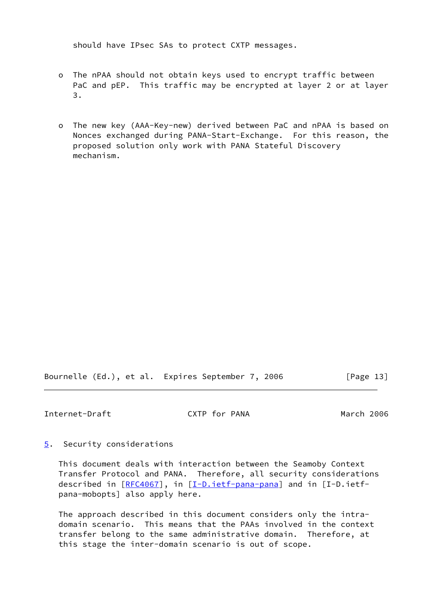should have IPsec SAs to protect CXTP messages.

- o The nPAA should not obtain keys used to encrypt traffic between PaC and pEP. This traffic may be encrypted at layer 2 or at layer 3.
- o The new key (AAA-Key-new) derived between PaC and nPAA is based on Nonces exchanged during PANA-Start-Exchange. For this reason, the proposed solution only work with PANA Stateful Discovery mechanism.

Bournelle (Ed.), et al. Expires September 7, 2006 [Page 13]

<span id="page-14-1"></span>Internet-Draft CXTP for PANA March 2006

<span id="page-14-0"></span>[5](#page-14-0). Security considerations

 This document deals with interaction between the Seamoby Context Transfer Protocol and PANA. Therefore, all security considerations described in [\[RFC4067](https://datatracker.ietf.org/doc/pdf/rfc4067)], in [[I-D.ietf-pana-pana\]](#page-19-4) and in [I-D.ietfpana-mobopts] also apply here.

 The approach described in this document considers only the intra domain scenario. This means that the PAAs involved in the context transfer belong to the same administrative domain. Therefore, at this stage the inter-domain scenario is out of scope.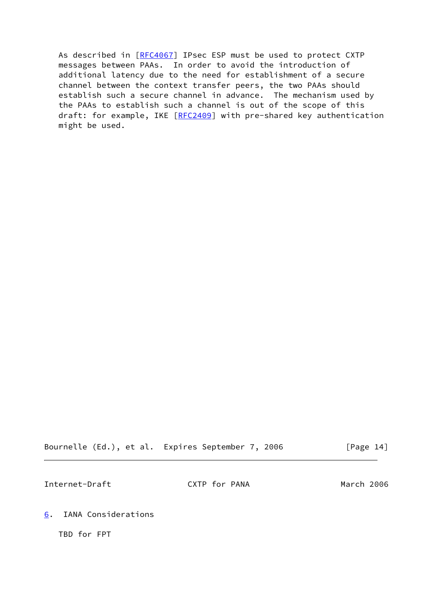As described in [\[RFC4067](https://datatracker.ietf.org/doc/pdf/rfc4067)] IPsec ESP must be used to protect CXTP messages between PAAs. In order to avoid the introduction of additional latency due to the need for establishment of a secure channel between the context transfer peers, the two PAAs should establish such a secure channel in advance. The mechanism used by the PAAs to establish such a channel is out of the scope of this draft: for example, IKE [\[RFC2409](https://datatracker.ietf.org/doc/pdf/rfc2409)] with pre-shared key authentication might be used.

Bournelle (Ed.), et al. Expires September 7, 2006 [Page 14]

<span id="page-15-1"></span>Internet-Draft CXTP for PANA March 2006

<span id="page-15-0"></span>[6](#page-15-0). IANA Considerations

TBD for FPT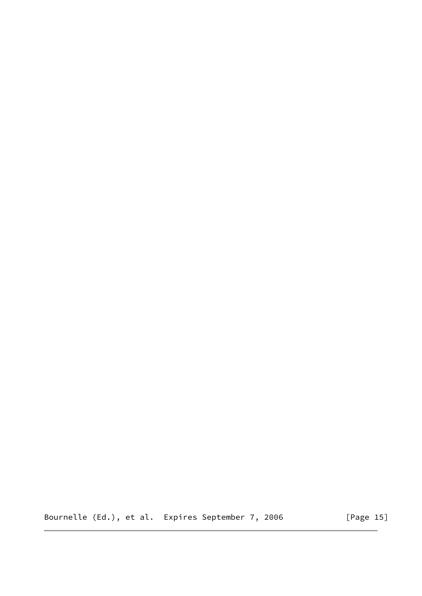Bournelle (Ed.), et al. Expires September 7, 2006 [Page 15]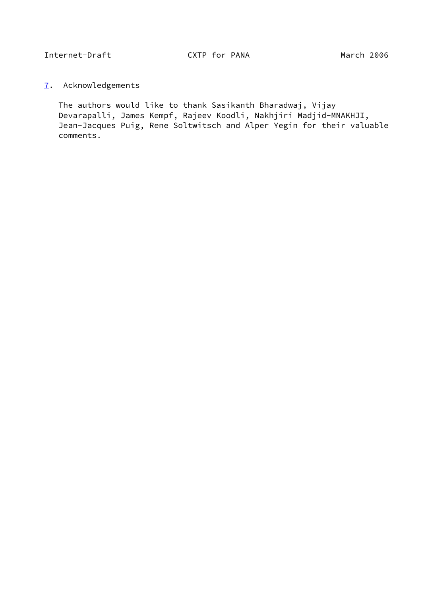# <span id="page-17-1"></span><span id="page-17-0"></span>[7](#page-17-0). Acknowledgements

 The authors would like to thank Sasikanth Bharadwaj, Vijay Devarapalli, James Kempf, Rajeev Koodli, Nakhjiri Madjid-MNAKHJI, Jean-Jacques Puig, Rene Soltwitsch and Alper Yegin for their valuable comments.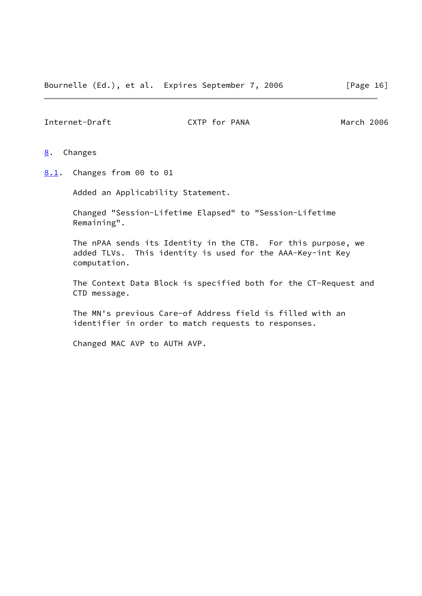<span id="page-18-1"></span>Internet-Draft CXTP for PANA March 2006

#### <span id="page-18-0"></span>[8](#page-18-0). Changes

<span id="page-18-2"></span>[8.1](#page-18-2). Changes from 00 to 01

Added an Applicability Statement.

 Changed "Session-Lifetime Elapsed" to "Session-Lifetime Remaining".

 The nPAA sends its Identity in the CTB. For this purpose, we added TLVs. This identity is used for the AAA-Key-int Key computation.

 The Context Data Block is specified both for the CT-Request and CTD message.

 The MN's previous Care-of Address field is filled with an identifier in order to match requests to responses.

Changed MAC AVP to AUTH AVP.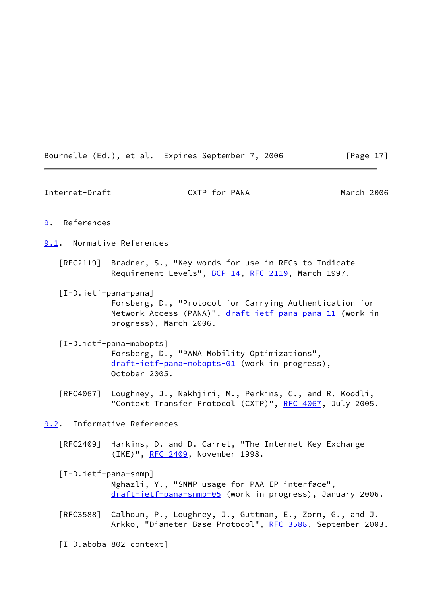Bournelle (Ed.), et al. Expires September 7, 2006 [Page 17]

<span id="page-19-5"></span><span id="page-19-4"></span><span id="page-19-2"></span><span id="page-19-1"></span><span id="page-19-0"></span>Internet-Draft CXTP for PANA March 2006 [9](#page-19-0). References [9.1](#page-19-2). Normative References [RFC2119] Bradner, S., "Key words for use in RFCs to Indicate Requirement Levels", [BCP 14](https://datatracker.ietf.org/doc/pdf/bcp14), [RFC 2119](https://datatracker.ietf.org/doc/pdf/rfc2119), March 1997. [I-D.ietf-pana-pana] Forsberg, D., "Protocol for Carrying Authentication for Network Access (PANA)", [draft-ietf-pana-pana-11](https://datatracker.ietf.org/doc/pdf/draft-ietf-pana-pana-11)</u> (work in progress), March 2006. [I-D.ietf-pana-mobopts] Forsberg, D., "PANA Mobility Optimizations", [draft-ietf-pana-mobopts-01](https://datatracker.ietf.org/doc/pdf/draft-ietf-pana-mobopts-01) (work in progress), October 2005. [RFC4067] Loughney, J., Nakhjiri, M., Perkins, C., and R. Koodli, "Context Transfer Protocol (CXTP)", [RFC 4067,](https://datatracker.ietf.org/doc/pdf/rfc4067) July 2005. [9.2](#page-19-3). Informative References [RFC2409] Harkins, D. and D. Carrel, "The Internet Key Exchange (IKE)", [RFC 2409,](https://datatracker.ietf.org/doc/pdf/rfc2409) November 1998. [I-D.ietf-pana-snmp] Mghazli, Y., "SNMP usage for PAA-EP interface",

<span id="page-19-6"></span><span id="page-19-3"></span> [RFC3588] Calhoun, P., Loughney, J., Guttman, E., Zorn, G., and J. Arkko, "Diameter Base Protocol", [RFC 3588,](https://datatracker.ietf.org/doc/pdf/rfc3588) September 2003.

[draft-ietf-pana-snmp-05](https://datatracker.ietf.org/doc/pdf/draft-ietf-pana-snmp-05) (work in progress), January 2006.

<span id="page-19-7"></span>[I-D.aboba-802-context]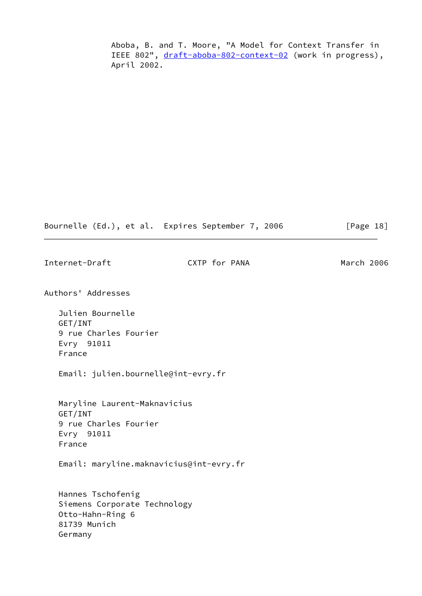Aboba, B. and T. Moore, "A Model for Context Transfer in IEEE 802", [draft-aboba-802-context-02](https://datatracker.ietf.org/doc/pdf/draft-aboba-802-context-02) (work in progress), April 2002.

Bournelle (Ed.), et al. Expires September 7, 2006 [Page 18]

<span id="page-20-0"></span>

| Internet-Draft                                                                                   | CXTP for PANA | March 2006 |
|--------------------------------------------------------------------------------------------------|---------------|------------|
| Authors' Addresses                                                                               |               |            |
| Julien Bournelle<br>GET/INT<br>9 rue Charles Fourier<br>Evry 91011<br>France                     |               |            |
| Email: julien.bournelle@int-evry.fr                                                              |               |            |
| Maryline Laurent-Maknavicius<br>GET/INT<br>9 rue Charles Fourier<br>Evry 91011<br>France         |               |            |
| Email: maryline.maknavicius@int-evry.fr                                                          |               |            |
| Hannes Tschofenig<br>Siemens Corporate Technology<br>Otto-Hahn-Ring 6<br>81739 Munich<br>Germany |               |            |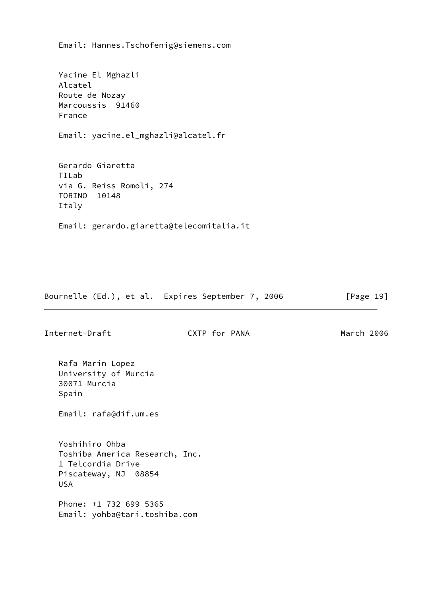Email: Hannes.Tschofenig@siemens.com

 Yacine El Mghazli Alcatel Route de Nozay Marcoussis 91460 France Email: yacine.el\_mghazli@alcatel.fr Gerardo Giaretta TILab via G. Reiss Romoli, 274 TORINO 10148 Italy Email: gerardo.giaretta@telecomitalia.it

Bournelle (Ed.), et al. Expires September 7, 2006 [Page 19]

Internet-Draft CXTP for PANA March 2006

 Rafa Marin Lopez University of Murcia 30071 Murcia Spain

Email: rafa@dif.um.es

 Yoshihiro Ohba Toshiba America Research, Inc. 1 Telcordia Drive Piscateway, NJ 08854 USA

 Phone: +1 732 699 5365 Email: yohba@tari.toshiba.com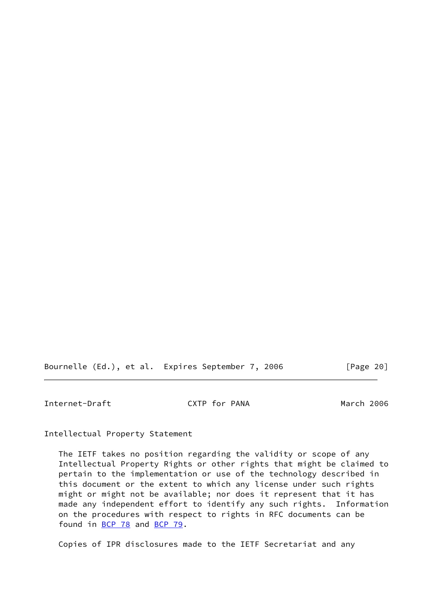Bournelle (Ed.), et al. Expires September 7, 2006 [Page 20]

<span id="page-22-0"></span>Internet-Draft CXTP for PANA March 2006

Intellectual Property Statement

 The IETF takes no position regarding the validity or scope of any Intellectual Property Rights or other rights that might be claimed to pertain to the implementation or use of the technology described in this document or the extent to which any license under such rights might or might not be available; nor does it represent that it has made any independent effort to identify any such rights. Information on the procedures with respect to rights in RFC documents can be found in [BCP 78](https://datatracker.ietf.org/doc/pdf/bcp78) and [BCP 79](https://datatracker.ietf.org/doc/pdf/bcp79).

Copies of IPR disclosures made to the IETF Secretariat and any